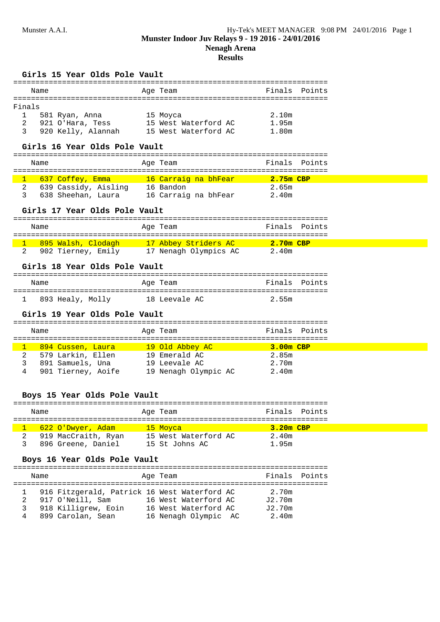# **Results**

#### **Girls 15 Year Olds Pole Vault**

|        | Name |                    | Age Team             | Finals Points |  |
|--------|------|--------------------|----------------------|---------------|--|
| Finals |      |                    |                      |               |  |
|        |      | 581 Ryan, Anna     | 15 Moyca             | 2.10m         |  |
| -2     |      | 921 O'Hara, Tess   | 15 West Waterford AC | 1.95m         |  |
|        |      | 920 Kelly, Alannah | 15 West Waterford AC | 1.80m         |  |

#### **Girls 16 Year Olds Pole Vault**

| Name |                      | Age Team             | Finals Points |  |
|------|----------------------|----------------------|---------------|--|
|      | 637 Coffey, Emma     | 16 Carraig na bhFear | $2.75m$ CBP   |  |
|      | 639 Cassidy, Aisling | 16 Bandon            | 2.65m         |  |
|      | 638 Sheehan, Laura   | 16 Carraig na bhFear | 2.40m         |  |

## **Girls 17 Year Olds Pole Vault**

|  | Name                            | Age Team              | Finals Points |  |  |  |  |
|--|---------------------------------|-----------------------|---------------|--|--|--|--|
|  |                                 |                       |               |  |  |  |  |
|  | <mark>895 Walsh, Clodagh</mark> | 17 Abbey Striders AC  | $2.70m$ CBP   |  |  |  |  |
|  | 902 Tierney, Emily              | 17 Nenagh Olympics AC | 2.40m         |  |  |  |  |

## **Girls 18 Year Olds Pole Vault**

|  | Name             | Age Team      | Finals Points |  |  |  |  |
|--|------------------|---------------|---------------|--|--|--|--|
|  |                  |               |               |  |  |  |  |
|  | 893 Healy, Molly | 18 Leevale AC | 2.55m         |  |  |  |  |

#### **Girls 19 Year Olds Pole Vault**

|   | Name                       |  | Age Team             |             | Finals Points |  |
|---|----------------------------|--|----------------------|-------------|---------------|--|
|   |                            |  |                      |             |               |  |
|   | <u>- 894 Cussen, Laura</u> |  | 19 Old Abbey AC      | $3.00m$ CBP |               |  |
| 2 | 579 Larkin, Ellen          |  | 19 Emerald AC        | 2.85m       |               |  |
| 3 | 891 Samuels, Una           |  | 19 Leevale AC        | 2.70m       |               |  |
| 4 | 901 Tierney, Aoife         |  | 19 Nenagh Olympic AC | 2.40m       |               |  |

### **Boys 15 Year Olds Pole Vault**

| Name                | Age Team             |             | Finals Points |
|---------------------|----------------------|-------------|---------------|
|                     |                      |             |               |
| 622 O'Dwyer, Adam   | 15 Moyca             | $3.20m$ CBP |               |
| 919 MacCraith, Ryan | 15 West Waterford AC | 2.40m       |               |
| 896 Greene, Daniel  | 15 St Johns AC       | 1.95m       |               |

## **Boys 16 Year Olds Pole Vault**

| Name |                                                                  | Age Team |                                              | Finals Points   |  |
|------|------------------------------------------------------------------|----------|----------------------------------------------|-----------------|--|
| 2    | 916 Fitzgerald, Patrick 16 West Waterford AC<br>917 O'Neill, Sam |          | 16 West Waterford AC                         | 2.70m<br>J2.70m |  |
|      | 918 Killigrew, Eoin<br>899 Carolan, Sean                         |          | 16 West Waterford AC<br>16 Nenagh Olympic AC | J2.70m<br>2.40m |  |